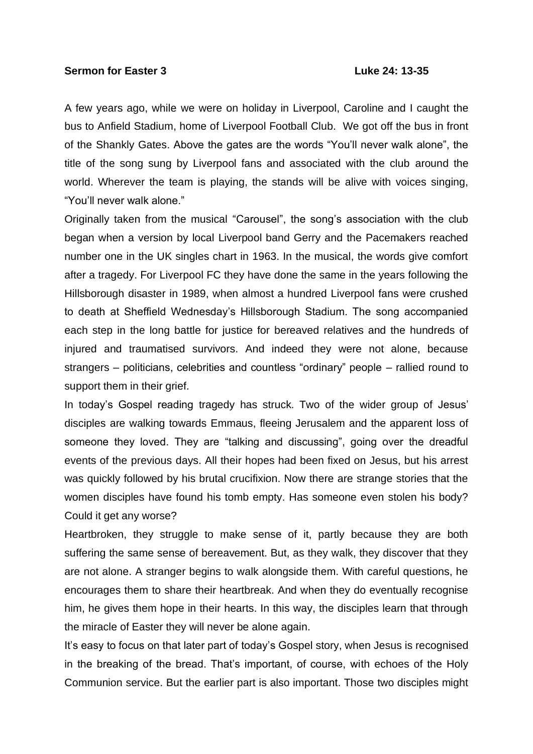## **Sermon for Easter 3 Luke 24: 13-35**

A few years ago, while we were on holiday in Liverpool, Caroline and I caught the bus to Anfield Stadium, home of Liverpool Football Club. We got off the bus in front of the Shankly Gates. Above the gates are the words "You'll never walk alone", the title of the song sung by Liverpool fans and associated with the club around the world. Wherever the team is playing, the stands will be alive with voices singing, "You'll never walk alone."

Originally taken from the musical "Carousel", the song's association with the club began when a version by local Liverpool band Gerry and the Pacemakers reached number one in the UK singles chart in 1963. In the musical, the words give comfort after a tragedy. For Liverpool FC they have done the same in the years following the Hillsborough disaster in 1989, when almost a hundred Liverpool fans were crushed to death at Sheffield Wednesday's Hillsborough Stadium. The song accompanied each step in the long battle for justice for bereaved relatives and the hundreds of injured and traumatised survivors. And indeed they were not alone, because strangers – politicians, celebrities and countless "ordinary" people – rallied round to support them in their grief.

In today's Gospel reading tragedy has struck. Two of the wider group of Jesus' disciples are walking towards Emmaus, fleeing Jerusalem and the apparent loss of someone they loved. They are "talking and discussing", going over the dreadful events of the previous days. All their hopes had been fixed on Jesus, but his arrest was quickly followed by his brutal crucifixion. Now there are strange stories that the women disciples have found his tomb empty. Has someone even stolen his body? Could it get any worse?

Heartbroken, they struggle to make sense of it, partly because they are both suffering the same sense of bereavement. But, as they walk, they discover that they are not alone. A stranger begins to walk alongside them. With careful questions, he encourages them to share their heartbreak. And when they do eventually recognise him, he gives them hope in their hearts. In this way, the disciples learn that through the miracle of Easter they will never be alone again.

It's easy to focus on that later part of today's Gospel story, when Jesus is recognised in the breaking of the bread. That's important, of course, with echoes of the Holy Communion service. But the earlier part is also important. Those two disciples might